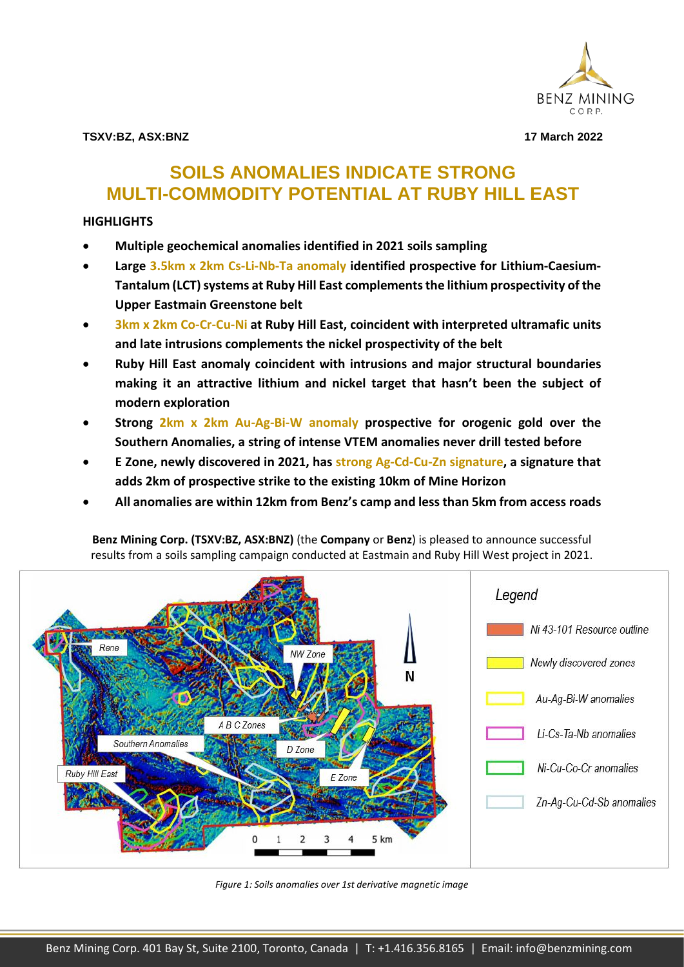

**TSXV:BZ, ASX:BNZ 17 March 2022**

# **SOILS ANOMALIES INDICATE STRONG MULTI-COMMODITY POTENTIAL AT RUBY HILL EAST**

# **HIGHLIGHTS**

- **Multiple geochemical anomalies identified in 2021 soils sampling**
- **Large 3.5km x 2km Cs-Li-Nb-Ta anomaly identified prospective for Lithium-Caesium-Tantalum (LCT) systems at Ruby Hill East complements the lithium prospectivity of the Upper Eastmain Greenstone belt**
- **3km x 2km Co-Cr-Cu-Ni at Ruby Hill East, coincident with interpreted ultramafic units and late intrusions complements the nickel prospectivity of the belt**
- **Ruby Hill East anomaly coincident with intrusions and major structural boundaries making it an attractive lithium and nickel target that hasn't been the subject of modern exploration**
- **Strong 2km x 2km Au-Ag-Bi-W anomaly prospective for orogenic gold over the Southern Anomalies, a string of intense VTEM anomalies never drill tested before**
- **E Zone, newly discovered in 2021, has strong Ag-Cd-Cu-Zn signature, a signature that adds 2km of prospective strike to the existing 10km of Mine Horizon**
- **All anomalies are within 12km from Benz's camp and less than 5km from access roads**

**Benz Mining Corp. (TSXV:BZ, ASX:BNZ)** (the **Company** or **Benz**) is pleased to announce successful results from a soils sampling campaign conducted at Eastmain and Ruby Hill West project in 2021.



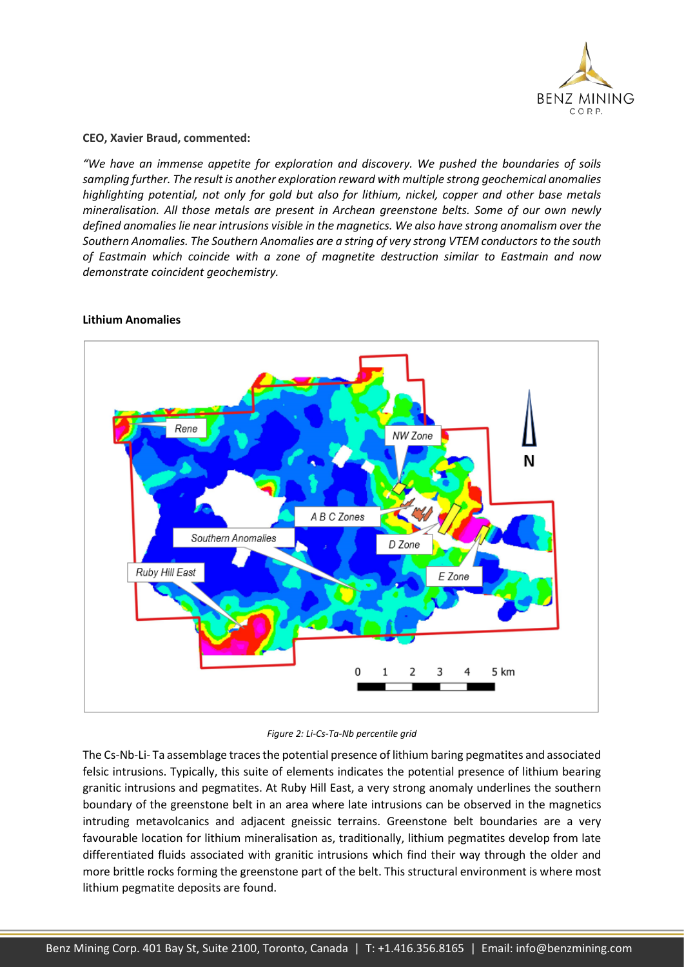

### **CEO, Xavier Braud, commented:**

*"We have an immense appetite for exploration and discovery. We pushed the boundaries of soils sampling further. The result is another exploration reward with multiple strong geochemical anomalies highlighting potential, not only for gold but also for lithium, nickel, copper and other base metals mineralisation. All those metals are present in Archean greenstone belts. Some of our own newly defined anomalies lie near intrusions visible in the magnetics. We also have strong anomalism over the Southern Anomalies. The Southern Anomalies are a string of very strong VTEM conductors to the south of Eastmain which coincide with a zone of magnetite destruction similar to Eastmain and now demonstrate coincident geochemistry.* 



# **Lithium Anomalies**

*Figure 2: Li-Cs-Ta-Nb percentile grid*

The Cs-Nb-Li- Ta assemblage traces the potential presence of lithium baring pegmatites and associated felsic intrusions. Typically, this suite of elements indicates the potential presence of lithium bearing granitic intrusions and pegmatites. At Ruby Hill East, a very strong anomaly underlines the southern boundary of the greenstone belt in an area where late intrusions can be observed in the magnetics intruding metavolcanics and adjacent gneissic terrains. Greenstone belt boundaries are a very favourable location for lithium mineralisation as, traditionally, lithium pegmatites develop from late differentiated fluids associated with granitic intrusions which find their way through the older and more brittle rocks forming the greenstone part of the belt. This structural environment is where most lithium pegmatite deposits are found.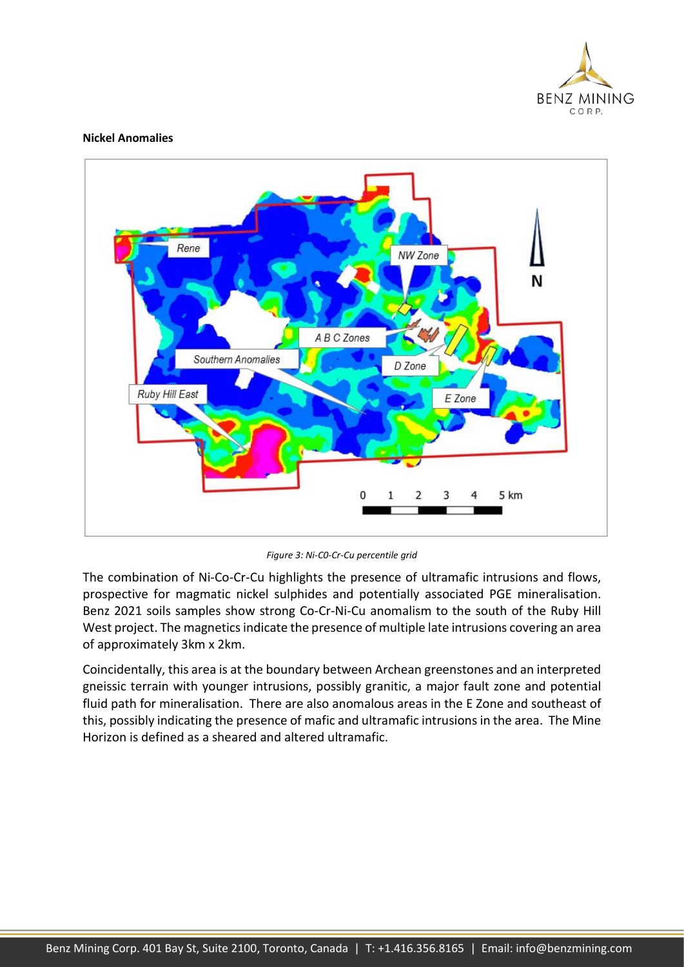

### **Nickel Anomalies**



*Figure 3: Ni-C0-Cr-Cu percentile grid*

The combination of Ni-Co-Cr-Cu highlights the presence of ultramafic intrusions and flows, prospective for magmatic nickel sulphides and potentially associated PGE mineralisation. Benz 2021 soils samples show strong Co-Cr-Ni-Cu anomalism to the south of the Ruby Hill West project. The magnetics indicate the presence of multiple late intrusions covering an area of approximately 3km x 2km.

Coincidentally, this area is at the boundary between Archean greenstones and an interpreted gneissic terrain with younger intrusions, possibly granitic, a major fault zone and potential fluid path for mineralisation. There are also anomalous areas in the E Zone and southeast of this, possibly indicating the presence of mafic and ultramafic intrusions in the area. The Mine Horizon is defined as a sheared and altered ultramafic.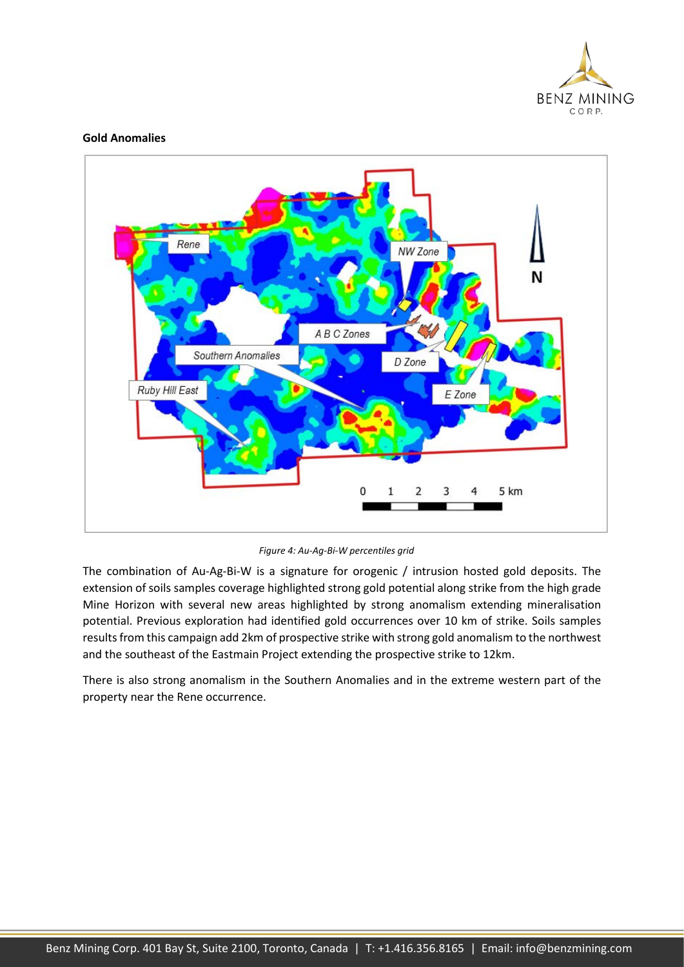

### **Gold Anomalies**



*Figure 4: Au-Ag-Bi-W percentiles grid*

The combination of Au-Ag-Bi-W is a signature for orogenic / intrusion hosted gold deposits. The extension of soils samples coverage highlighted strong gold potential along strike from the high grade Mine Horizon with several new areas highlighted by strong anomalism extending mineralisation potential. Previous exploration had identified gold occurrences over 10 km of strike. Soils samples results from this campaign add 2km of prospective strike with strong gold anomalism to the northwest and the southeast of the Eastmain Project extending the prospective strike to 12km.

There is also strong anomalism in the Southern Anomalies and in the extreme western part of the property near the Rene occurrence.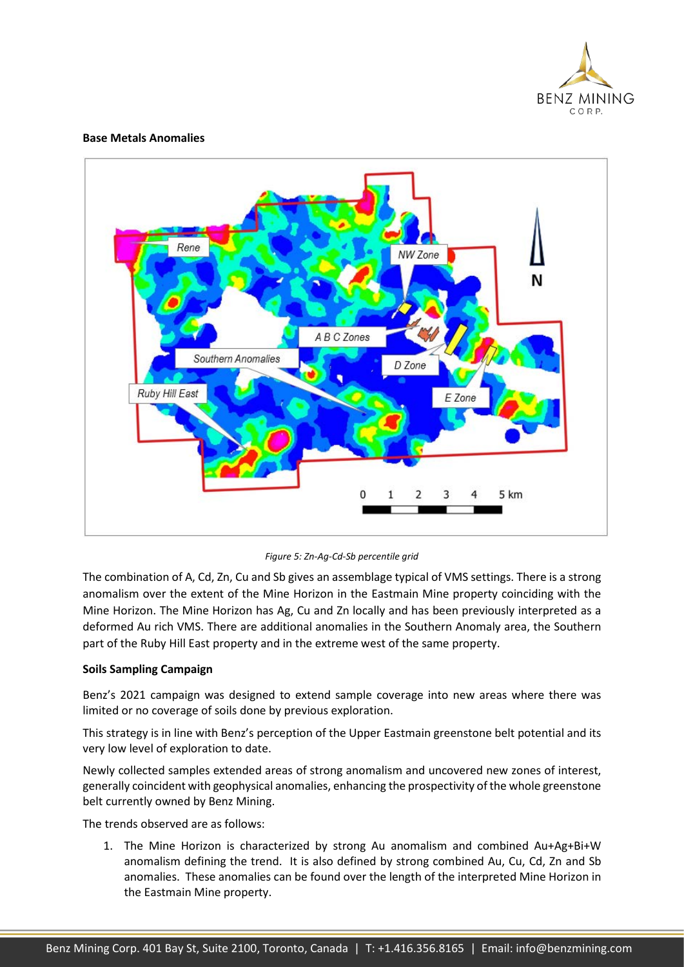

### **Base Metals Anomalies**



*Figure 5: Zn-Ag-Cd-Sb percentile grid*

The combination of A, Cd, Zn, Cu and Sb gives an assemblage typical of VMS settings. There is a strong anomalism over the extent of the Mine Horizon in the Eastmain Mine property coinciding with the Mine Horizon. The Mine Horizon has Ag, Cu and Zn locally and has been previously interpreted as a deformed Au rich VMS. There are additional anomalies in the Southern Anomaly area, the Southern part of the Ruby Hill East property and in the extreme west of the same property.

### **Soils Sampling Campaign**

Benz's 2021 campaign was designed to extend sample coverage into new areas where there was limited or no coverage of soils done by previous exploration.

This strategy is in line with Benz's perception of the Upper Eastmain greenstone belt potential and its very low level of exploration to date.

Newly collected samples extended areas of strong anomalism and uncovered new zones of interest, generally coincident with geophysical anomalies, enhancing the prospectivity of the whole greenstone belt currently owned by Benz Mining.

The trends observed are as follows:

1. The Mine Horizon is characterized by strong Au anomalism and combined Au+Ag+Bi+W anomalism defining the trend. It is also defined by strong combined Au, Cu, Cd, Zn and Sb anomalies. These anomalies can be found over the length of the interpreted Mine Horizon in the Eastmain Mine property.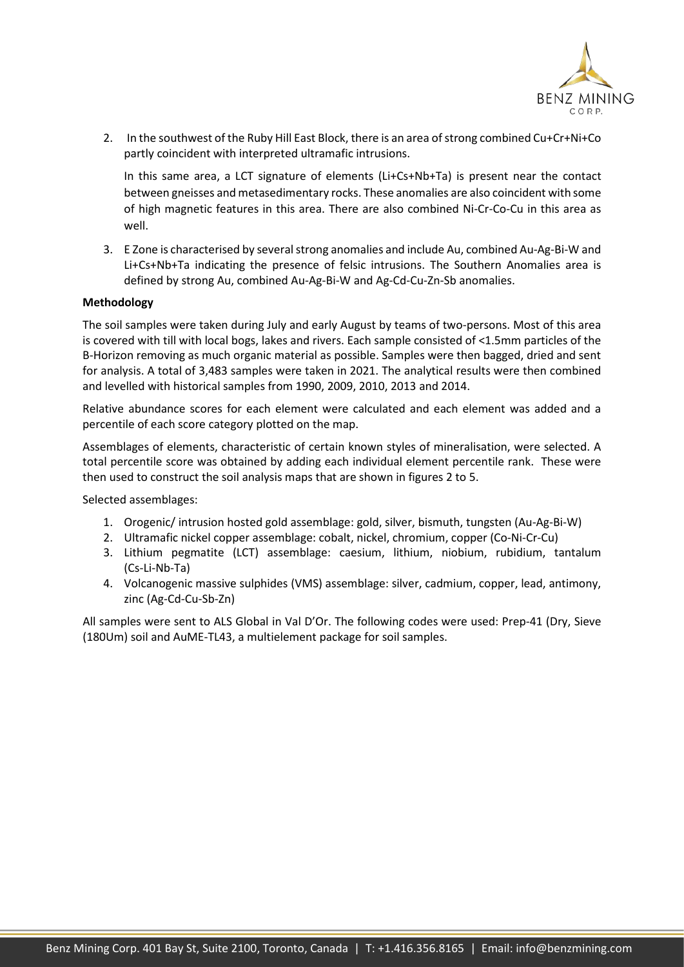

2. In the southwest of the Ruby Hill East Block, there is an area of strong combined Cu+Cr+Ni+Co partly coincident with interpreted ultramafic intrusions.

In this same area, a LCT signature of elements (Li+Cs+Nb+Ta) is present near the contact between gneisses and metasedimentary rocks. These anomalies are also coincident with some of high magnetic features in this area. There are also combined Ni-Cr-Co-Cu in this area as well.

3. E Zone is characterised by several strong anomalies and include Au, combined Au-Ag-Bi-W and Li+Cs+Nb+Ta indicating the presence of felsic intrusions. The Southern Anomalies area is defined by strong Au, combined Au-Ag-Bi-W and Ag-Cd-Cu-Zn-Sb anomalies.

### **Methodology**

The soil samples were taken during July and early August by teams of two-persons. Most of this area is covered with till with local bogs, lakes and rivers. Each sample consisted of <1.5mm particles of the B-Horizon removing as much organic material as possible. Samples were then bagged, dried and sent for analysis. A total of 3,483 samples were taken in 2021. The analytical results were then combined and levelled with historical samples from 1990, 2009, 2010, 2013 and 2014.

Relative abundance scores for each element were calculated and each element was added and a percentile of each score category plotted on the map.

Assemblages of elements, characteristic of certain known styles of mineralisation, were selected. A total percentile score was obtained by adding each individual element percentile rank. These were then used to construct the soil analysis maps that are shown in figures 2 to 5.

Selected assemblages:

- 1. Orogenic/ intrusion hosted gold assemblage: gold, silver, bismuth, tungsten (Au-Ag-Bi-W)
- 2. Ultramafic nickel copper assemblage: cobalt, nickel, chromium, copper (Co-Ni-Cr-Cu)
- 3. Lithium pegmatite (LCT) assemblage: caesium, lithium, niobium, rubidium, tantalum (Cs-Li-Nb-Ta)
- 4. Volcanogenic massive sulphides (VMS) assemblage: silver, cadmium, copper, lead, antimony, zinc (Ag-Cd-Cu-Sb-Zn)

All samples were sent to ALS Global in Val D'Or. The following codes were used: Prep-41 (Dry, Sieve (180Um) soil and AuME-TL43, a multielement package for soil samples.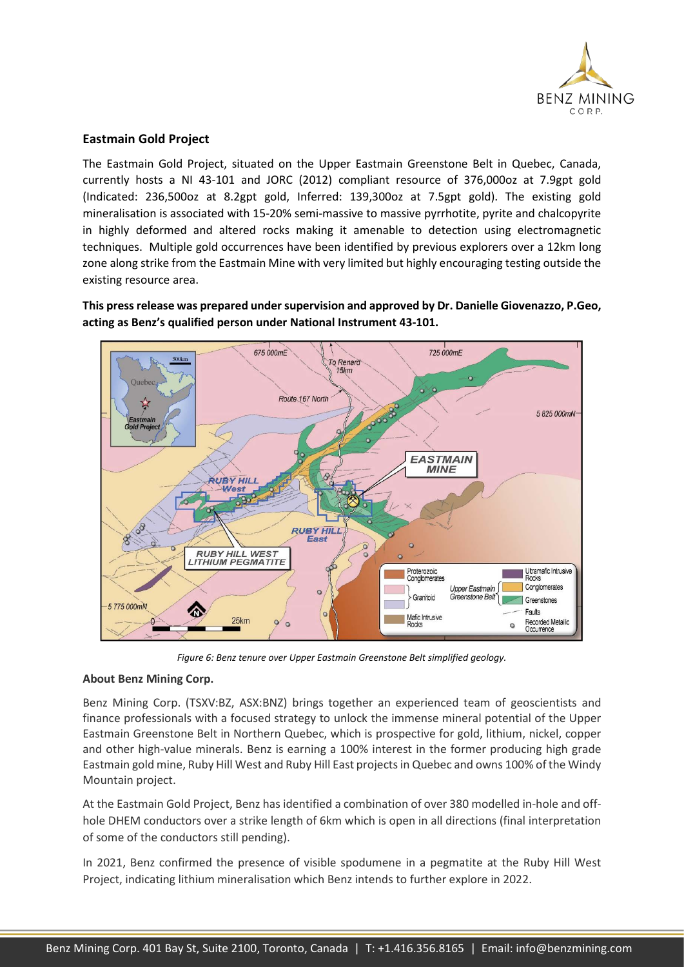

# **Eastmain Gold Project**

The Eastmain Gold Project, situated on the Upper Eastmain Greenstone Belt in Quebec, Canada, currently hosts a NI 43-101 and JORC (2012) compliant resource of 376,000oz at 7.9gpt gold (Indicated: 236,500oz at 8.2gpt gold, Inferred: 139,300oz at 7.5gpt gold). The existing gold mineralisation is associated with 15-20% semi-massive to massive pyrrhotite, pyrite and chalcopyrite in highly deformed and altered rocks making it amenable to detection using electromagnetic techniques. Multiple gold occurrences have been identified by previous explorers over a 12km long zone along strike from the Eastmain Mine with very limited but highly encouraging testing outside the existing resource area.

**This press release was prepared under supervision and approved by Dr. Danielle Giovenazzo, P.Geo, acting as Benz's qualified person under National Instrument 43-101.**



*Figure 6: Benz tenure over Upper Eastmain Greenstone Belt simplified geology.*

# **About Benz Mining Corp.**

Benz Mining Corp. (TSXV:BZ, ASX:BNZ) brings together an experienced team of geoscientists and finance professionals with a focused strategy to unlock the immense mineral potential of the Upper Eastmain Greenstone Belt in Northern Quebec, which is prospective for gold, lithium, nickel, copper and other high-value minerals. Benz is earning a 100% interest in the former producing high grade Eastmain gold mine, Ruby Hill West and Ruby Hill East projects in Quebec and owns 100% of the Windy Mountain project.

At the Eastmain Gold Project, Benz has identified a combination of over 380 modelled in-hole and offhole DHEM conductors over a strike length of 6km which is open in all directions (final interpretation of some of the conductors still pending).

In 2021, Benz confirmed the presence of visible spodumene in a pegmatite at the Ruby Hill West Project, indicating lithium mineralisation which Benz intends to further explore in 2022.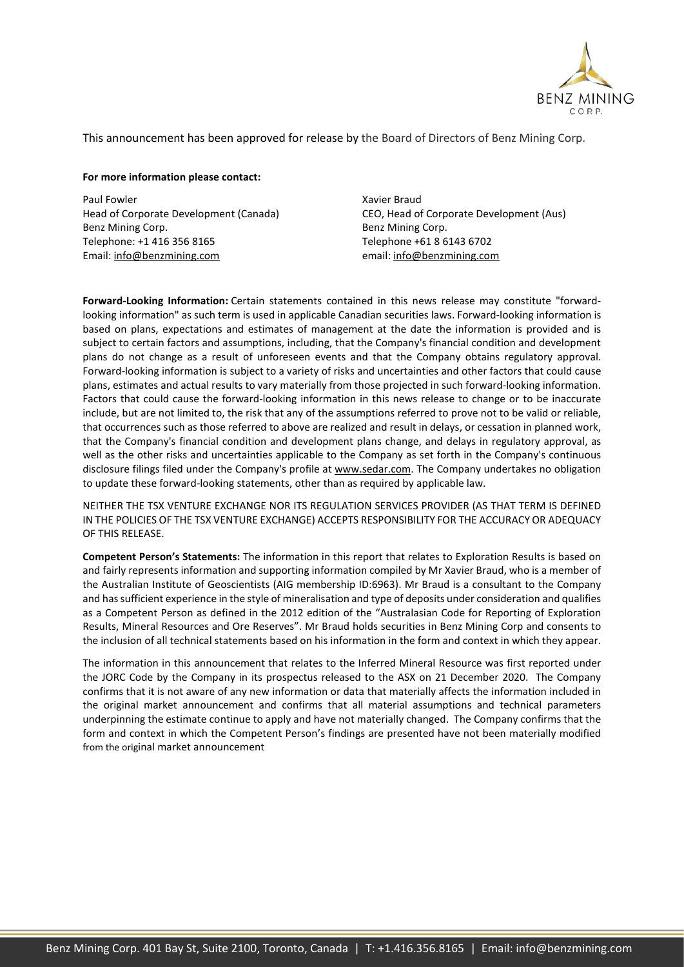

This announcement has been approved for release by the Board of Directors of Benz Mining Corp.

#### **For more information please contact:**

Paul Fowler Head of Corporate Development (Canada) Benz Mining Corp. Telephone: +1 416 356 8165 Email: [info@benzmining.com](mailto:info@benzmining.com)

Xavier Braud CEO, Head of Corporate Development (Aus) Benz Mining Corp. Telephone +61 8 6143 6702 email: [info@benzmining.com](mailto:info@benzmining.com)

**Forward-Looking Information:** Certain statements contained in this news release may constitute "forwardlooking information" as such term is used in applicable Canadian securities laws. Forward-looking information is based on plans, expectations and estimates of management at the date the information is provided and is subject to certain factors and assumptions, including, that the Company's financial condition and development plans do not change as a result of unforeseen events and that the Company obtains regulatory approval. Forward-looking information is subject to a variety of risks and uncertainties and other factors that could cause plans, estimates and actual results to vary materially from those projected in such forward-looking information. Factors that could cause the forward-looking information in this news release to change or to be inaccurate include, but are not limited to, the risk that any of the assumptions referred to prove not to be valid or reliable, that occurrences such as those referred to above are realized and result in delays, or cessation in planned work, that the Company's financial condition and development plans change, and delays in regulatory approval, as well as the other risks and uncertainties applicable to the Company as set forth in the Company's continuous disclosure filings filed under the Company's profile at [www.sedar.com.](https://www.newsfilecorp.com/redirect/jbaESR8W) The Company undertakes no obligation to update these forward-looking statements, other than as required by applicable law.

NEITHER THE TSX VENTURE EXCHANGE NOR ITS REGULATION SERVICES PROVIDER (AS THAT TERM IS DEFINED IN THE POLICIES OF THE TSX VENTURE EXCHANGE) ACCEPTS RESPONSIBILITY FOR THE ACCURACY OR ADEQUACY OF THIS RELEASE.

**Competent Person's Statements:** The information in this report that relates to Exploration Results is based on and fairly represents information and supporting information compiled by Mr Xavier Braud, who is a member of the Australian Institute of Geoscientists (AIG membership ID:6963). Mr Braud is a consultant to the Company and has sufficient experience in the style of mineralisation and type of deposits under consideration and qualifies as a Competent Person as defined in the 2012 edition of the "Australasian Code for Reporting of Exploration Results, Mineral Resources and Ore Reserves". Mr Braud holds securities in Benz Mining Corp and consents to the inclusion of all technical statements based on his information in the form and context in which they appear.

The information in this announcement that relates to the Inferred Mineral Resource was first reported under the JORC Code by the Company in its prospectus released to the ASX on 21 December 2020. The Company confirms that it is not aware of any new information or data that materially affects the information included in the original market announcement and confirms that all material assumptions and technical parameters underpinning the estimate continue to apply and have not materially changed. The Company confirms that the form and context in which the Competent Person's findings are presented have not been materially modified from the original market announcement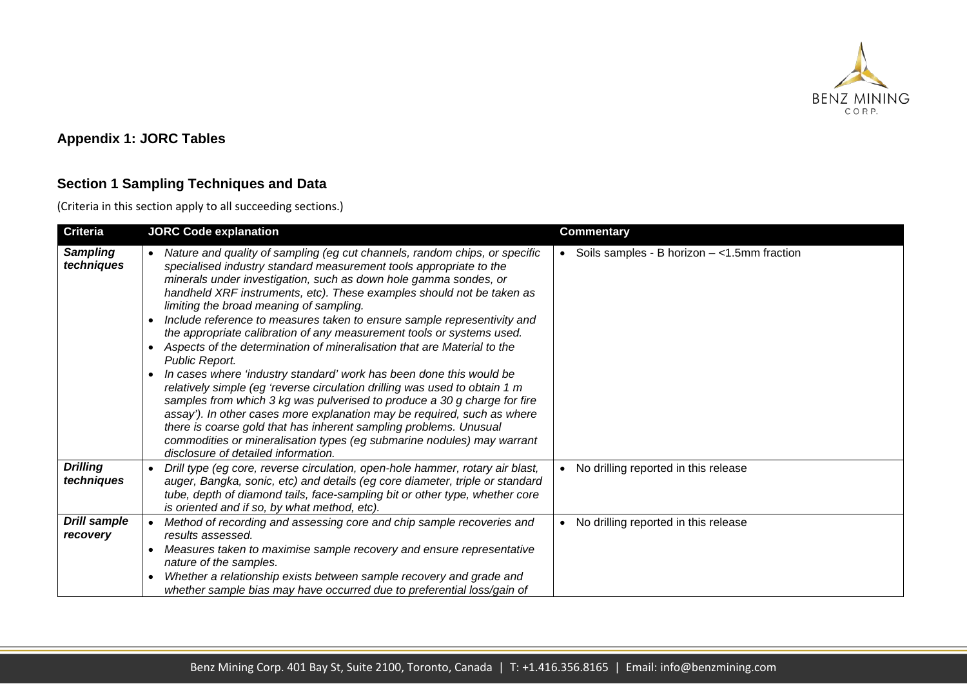

# **Appendix 1: JORC Tables**

# **Section 1 Sampling Techniques and Data**

(Criteria in this section apply to all succeeding sections.)

| <b>Criteria</b>                 |                                     | <b>JORC Code explanation</b>                                                                                                                                                                                                                                                                                                                                                                                                                                                                                                                                                                                                                                                                                                                                                                                                                                                                                                                                                                                                                                                                | <b>Commentary</b>                               |
|---------------------------------|-------------------------------------|---------------------------------------------------------------------------------------------------------------------------------------------------------------------------------------------------------------------------------------------------------------------------------------------------------------------------------------------------------------------------------------------------------------------------------------------------------------------------------------------------------------------------------------------------------------------------------------------------------------------------------------------------------------------------------------------------------------------------------------------------------------------------------------------------------------------------------------------------------------------------------------------------------------------------------------------------------------------------------------------------------------------------------------------------------------------------------------------|-------------------------------------------------|
| <b>Sampling</b><br>techniques   | $\bullet$<br>$\bullet$<br>$\bullet$ | Nature and quality of sampling (eg cut channels, random chips, or specific<br>specialised industry standard measurement tools appropriate to the<br>minerals under investigation, such as down hole gamma sondes, or<br>handheld XRF instruments, etc). These examples should not be taken as<br>limiting the broad meaning of sampling.<br>Include reference to measures taken to ensure sample representivity and<br>the appropriate calibration of any measurement tools or systems used.<br>Aspects of the determination of mineralisation that are Material to the<br>Public Report.<br>In cases where 'industry standard' work has been done this would be<br>relatively simple (eg 'reverse circulation drilling was used to obtain 1 m<br>samples from which 3 kg was pulverised to produce a 30 g charge for fire<br>assay'). In other cases more explanation may be required, such as where<br>there is coarse gold that has inherent sampling problems. Unusual<br>commodities or mineralisation types (eg submarine nodules) may warrant<br>disclosure of detailed information. | • Soils samples - B horizon $-$ <1.5mm fraction |
| <b>Drilling</b><br>techniques   | $\bullet$                           | Drill type (eg core, reverse circulation, open-hole hammer, rotary air blast,<br>auger, Bangka, sonic, etc) and details (eg core diameter, triple or standard<br>tube, depth of diamond tails, face-sampling bit or other type, whether core<br>is oriented and if so, by what method, etc).                                                                                                                                                                                                                                                                                                                                                                                                                                                                                                                                                                                                                                                                                                                                                                                                | No drilling reported in this release            |
| <b>Drill sample</b><br>recovery |                                     | Method of recording and assessing core and chip sample recoveries and<br>results assessed.                                                                                                                                                                                                                                                                                                                                                                                                                                                                                                                                                                                                                                                                                                                                                                                                                                                                                                                                                                                                  | No drilling reported in this release            |
|                                 | $\bullet$                           | Measures taken to maximise sample recovery and ensure representative<br>nature of the samples.                                                                                                                                                                                                                                                                                                                                                                                                                                                                                                                                                                                                                                                                                                                                                                                                                                                                                                                                                                                              |                                                 |
|                                 | $\bullet$                           | Whether a relationship exists between sample recovery and grade and<br>whether sample bias may have occurred due to preferential loss/gain of                                                                                                                                                                                                                                                                                                                                                                                                                                                                                                                                                                                                                                                                                                                                                                                                                                                                                                                                               |                                                 |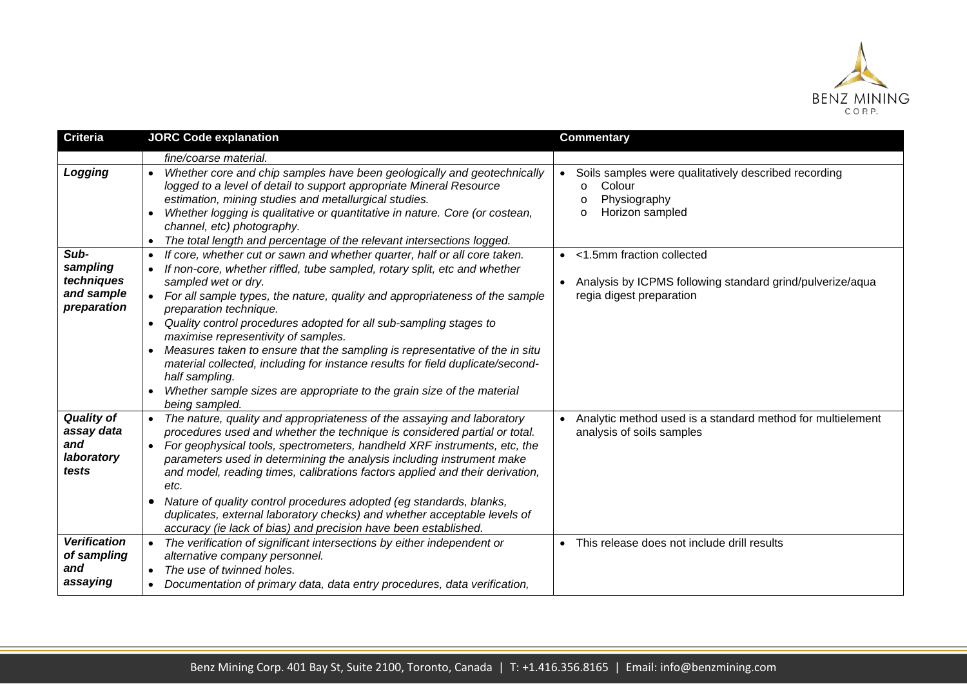

| <b>Criteria</b>                                               | <b>JORC Code explanation</b>                                                                                                                                                                                                                                                                                                                                                                                                                                                                                                                                                                                                                                                                                             | <b>Commentary</b>                                                                                                                   |
|---------------------------------------------------------------|--------------------------------------------------------------------------------------------------------------------------------------------------------------------------------------------------------------------------------------------------------------------------------------------------------------------------------------------------------------------------------------------------------------------------------------------------------------------------------------------------------------------------------------------------------------------------------------------------------------------------------------------------------------------------------------------------------------------------|-------------------------------------------------------------------------------------------------------------------------------------|
|                                                               | fine/coarse material.                                                                                                                                                                                                                                                                                                                                                                                                                                                                                                                                                                                                                                                                                                    |                                                                                                                                     |
| Logging                                                       | Whether core and chip samples have been geologically and geotechnically<br>$\bullet$<br>logged to a level of detail to support appropriate Mineral Resource<br>estimation, mining studies and metallurgical studies.<br>Whether logging is qualitative or quantitative in nature. Core (or costean,<br>$\bullet$<br>channel, etc) photography.<br>The total length and percentage of the relevant intersections logged.                                                                                                                                                                                                                                                                                                  | Soils samples were qualitatively described recording<br>Colour<br>$\circ$<br>Physiography<br>$\Omega$<br>Horizon sampled<br>$\circ$ |
| Sub-<br>sampling<br>techniques<br>and sample<br>preparation   | If core, whether cut or sawn and whether quarter, half or all core taken.<br>If non-core, whether riffled, tube sampled, rotary split, etc and whether<br>sampled wet or dry.<br>For all sample types, the nature, quality and appropriateness of the sample<br>preparation technique.<br>Quality control procedures adopted for all sub-sampling stages to<br>$\bullet$<br>maximise representivity of samples.<br>Measures taken to ensure that the sampling is representative of the in situ<br>$\bullet$<br>material collected, including for instance results for field duplicate/second-<br>half sampling.<br>Whether sample sizes are appropriate to the grain size of the material<br>$\bullet$<br>being sampled. | <1.5mm fraction collected<br>Analysis by ICPMS following standard grind/pulverize/aqua<br>$\bullet$<br>regia digest preparation     |
| <b>Quality of</b><br>assay data<br>and<br>laboratory<br>tests | The nature, quality and appropriateness of the assaying and laboratory<br>procedures used and whether the technique is considered partial or total.<br>For geophysical tools, spectrometers, handheld XRF instruments, etc, the<br>$\bullet$<br>parameters used in determining the analysis including instrument make<br>and model, reading times, calibrations factors applied and their derivation,<br>etc.<br>Nature of quality control procedures adopted (eg standards, blanks,<br>$\bullet$<br>duplicates, external laboratory checks) and whether acceptable levels of<br>accuracy (ie lack of bias) and precision have been established.                                                                         | Analytic method used is a standard method for multielement<br>analysis of soils samples                                             |
| <b>Verification</b><br>of sampling<br>and<br>assaying         | The verification of significant intersections by either independent or<br>alternative company personnel.<br>The use of twinned holes.<br>$\bullet$<br>Documentation of primary data, data entry procedures, data verification,                                                                                                                                                                                                                                                                                                                                                                                                                                                                                           | This release does not include drill results<br>$\bullet$                                                                            |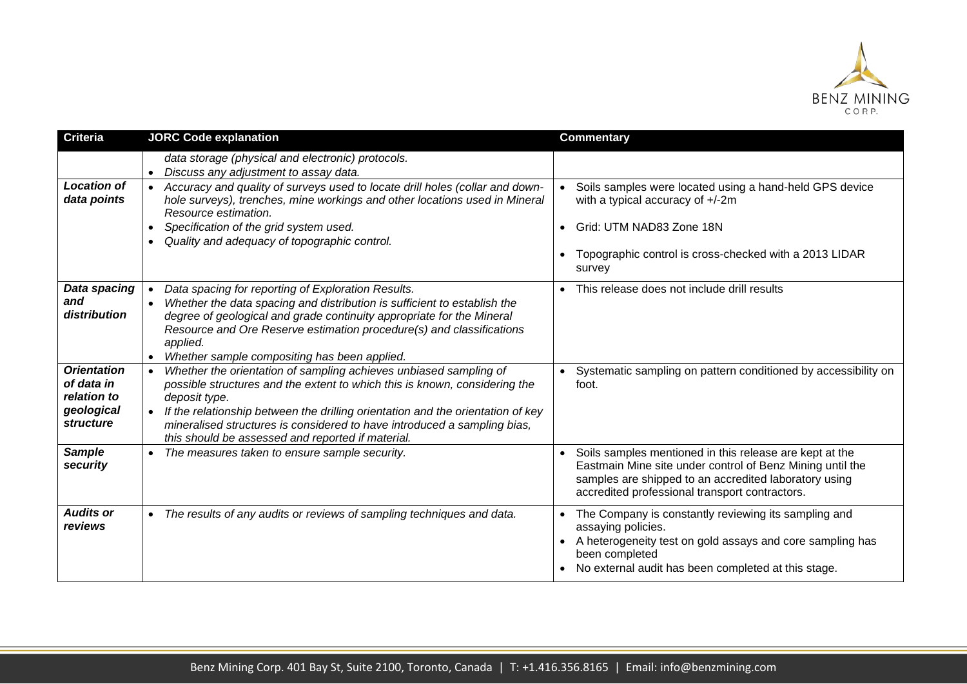

| <b>Criteria</b>                                                            | <b>JORC Code explanation</b>                                                                                                                                                                                                                                                                                                                                                                                                   | <b>Commentary</b>                                                                                                                                                                                                               |
|----------------------------------------------------------------------------|--------------------------------------------------------------------------------------------------------------------------------------------------------------------------------------------------------------------------------------------------------------------------------------------------------------------------------------------------------------------------------------------------------------------------------|---------------------------------------------------------------------------------------------------------------------------------------------------------------------------------------------------------------------------------|
| <b>Location of</b><br>data points                                          | data storage (physical and electronic) protocols.<br>Discuss any adjustment to assay data.<br>$\bullet$<br>Accuracy and quality of surveys used to locate drill holes (collar and down-<br>$\bullet$<br>hole surveys), trenches, mine workings and other locations used in Mineral<br>Resource estimation.<br>Specification of the grid system used.<br>$\bullet$<br>Quality and adequacy of topographic control.<br>$\bullet$ | Soils samples were located using a hand-held GPS device<br>with a typical accuracy of +/-2m<br>Grid: UTM NAD83 Zone 18N<br>Topographic control is cross-checked with a 2013 LIDAR<br>survey                                     |
| Data spacing<br>and<br>distribution                                        | Data spacing for reporting of Exploration Results.<br>$\bullet$<br>Whether the data spacing and distribution is sufficient to establish the<br>$\bullet$<br>degree of geological and grade continuity appropriate for the Mineral<br>Resource and Ore Reserve estimation procedure(s) and classifications<br>applied.<br>Whether sample compositing has been applied.<br>$\bullet$                                             | This release does not include drill results                                                                                                                                                                                     |
| <b>Orientation</b><br>of data in<br>relation to<br>geological<br>structure | Whether the orientation of sampling achieves unbiased sampling of<br>$\bullet$<br>possible structures and the extent to which this is known, considering the<br>deposit type.<br>If the relationship between the drilling orientation and the orientation of key<br>$\bullet$<br>mineralised structures is considered to have introduced a sampling bias,<br>this should be assessed and reported if material.                 | Systematic sampling on pattern conditioned by accessibility on<br>foot.                                                                                                                                                         |
| <b>Sample</b><br>security                                                  | The measures taken to ensure sample security.                                                                                                                                                                                                                                                                                                                                                                                  | Soils samples mentioned in this release are kept at the<br>Eastmain Mine site under control of Benz Mining until the<br>samples are shipped to an accredited laboratory using<br>accredited professional transport contractors. |
| <b>Audits or</b><br>reviews                                                | • The results of any audits or reviews of sampling techniques and data.                                                                                                                                                                                                                                                                                                                                                        | The Company is constantly reviewing its sampling and<br>assaying policies.<br>A heterogeneity test on gold assays and core sampling has<br>been completed<br>No external audit has been completed at this stage.                |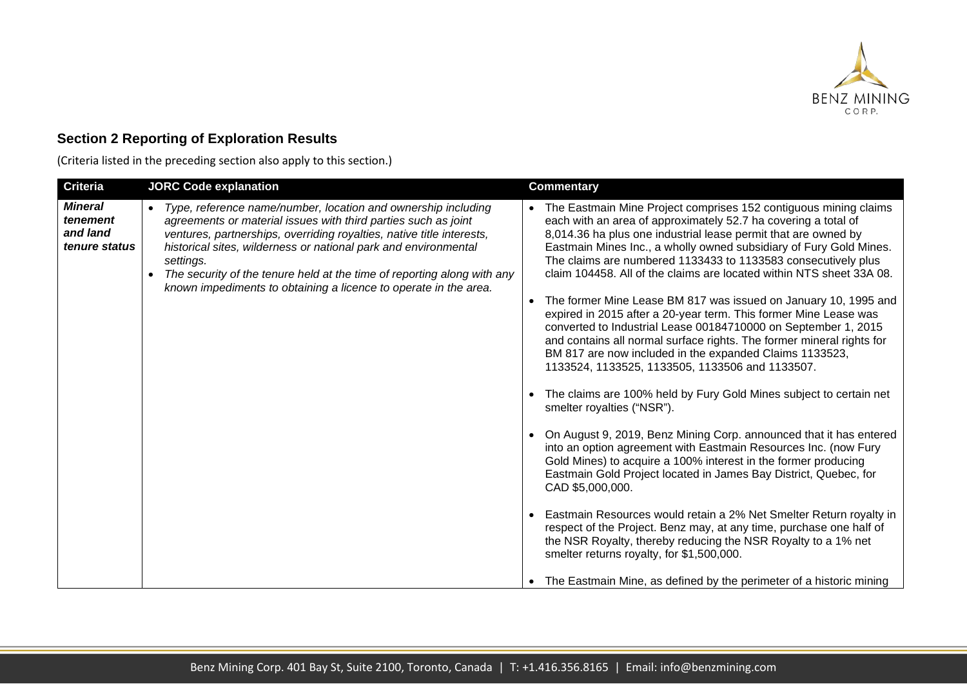

# **Section 2 Reporting of Exploration Results**

(Criteria listed in the preceding section also apply to this section.)

| <b>Criteria</b>                                         | <b>JORC Code explanation</b>                                                                                                                                                                                                                                                                                                                                                                                                            | <b>Commentary</b>                                                                                                                                                                                                                                                                                                                                                                                                                                                                                                                                                                                                                                                                                                                                                                                                       |
|---------------------------------------------------------|-----------------------------------------------------------------------------------------------------------------------------------------------------------------------------------------------------------------------------------------------------------------------------------------------------------------------------------------------------------------------------------------------------------------------------------------|-------------------------------------------------------------------------------------------------------------------------------------------------------------------------------------------------------------------------------------------------------------------------------------------------------------------------------------------------------------------------------------------------------------------------------------------------------------------------------------------------------------------------------------------------------------------------------------------------------------------------------------------------------------------------------------------------------------------------------------------------------------------------------------------------------------------------|
| <b>Mineral</b><br>tenement<br>and land<br>tenure status | Type, reference name/number, location and ownership including<br>agreements or material issues with third parties such as joint<br>ventures, partnerships, overriding royalties, native title interests,<br>historical sites, wilderness or national park and environmental<br>settings.<br>The security of the tenure held at the time of reporting along with any<br>known impediments to obtaining a licence to operate in the area. | • The Eastmain Mine Project comprises 152 contiguous mining claims<br>each with an area of approximately 52.7 ha covering a total of<br>8,014.36 ha plus one industrial lease permit that are owned by<br>Eastmain Mines Inc., a wholly owned subsidiary of Fury Gold Mines.<br>The claims are numbered 1133433 to 1133583 consecutively plus<br>claim 104458. All of the claims are located within NTS sheet 33A 08.<br>• The former Mine Lease BM 817 was issued on January 10, 1995 and<br>expired in 2015 after a 20-year term. This former Mine Lease was<br>converted to Industrial Lease 00184710000 on September 1, 2015<br>and contains all normal surface rights. The former mineral rights for<br>BM 817 are now included in the expanded Claims 1133523,<br>1133524, 1133525, 1133505, 1133506 and 1133507. |
|                                                         |                                                                                                                                                                                                                                                                                                                                                                                                                                         | The claims are 100% held by Fury Gold Mines subject to certain net<br>smelter royalties ("NSR").                                                                                                                                                                                                                                                                                                                                                                                                                                                                                                                                                                                                                                                                                                                        |
|                                                         |                                                                                                                                                                                                                                                                                                                                                                                                                                         | • On August 9, 2019, Benz Mining Corp. announced that it has entered<br>into an option agreement with Eastmain Resources Inc. (now Fury<br>Gold Mines) to acquire a 100% interest in the former producing<br>Eastmain Gold Project located in James Bay District, Quebec, for<br>CAD \$5,000,000.                                                                                                                                                                                                                                                                                                                                                                                                                                                                                                                       |
|                                                         |                                                                                                                                                                                                                                                                                                                                                                                                                                         | • Eastmain Resources would retain a 2% Net Smelter Return royalty in<br>respect of the Project. Benz may, at any time, purchase one half of<br>the NSR Royalty, thereby reducing the NSR Royalty to a 1% net<br>smelter returns royalty, for \$1,500,000.                                                                                                                                                                                                                                                                                                                                                                                                                                                                                                                                                               |
|                                                         |                                                                                                                                                                                                                                                                                                                                                                                                                                         | • The Eastmain Mine, as defined by the perimeter of a historic mining                                                                                                                                                                                                                                                                                                                                                                                                                                                                                                                                                                                                                                                                                                                                                   |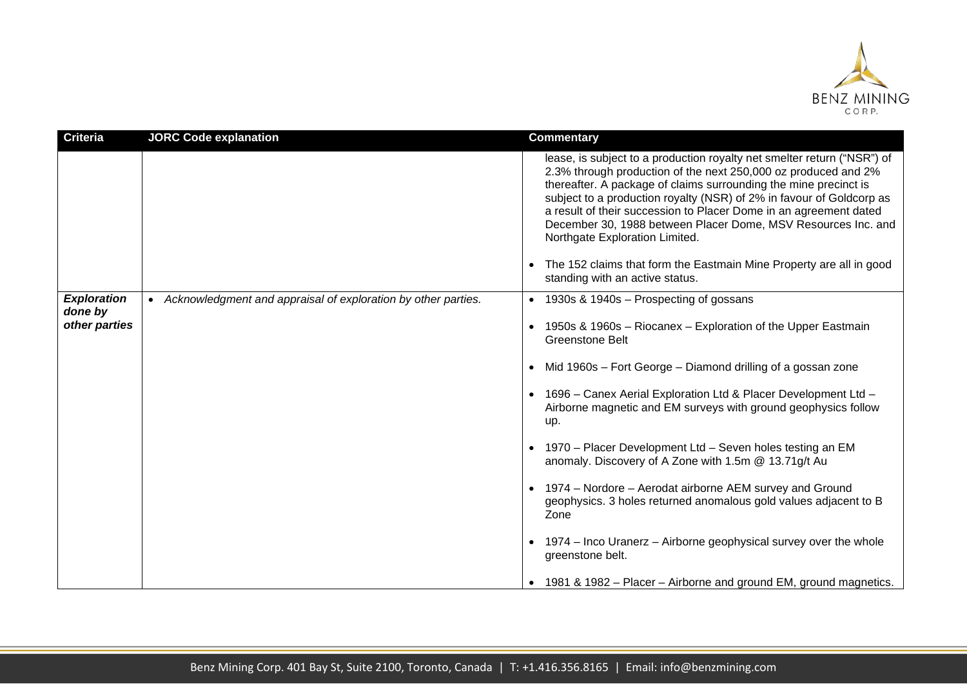

| <b>Criteria</b>                                | <b>JORC Code explanation</b>                                    | <b>Commentary</b>                                                                                                                                                                                                                                                                                                                                                                                                                                                                                                                                                         |
|------------------------------------------------|-----------------------------------------------------------------|---------------------------------------------------------------------------------------------------------------------------------------------------------------------------------------------------------------------------------------------------------------------------------------------------------------------------------------------------------------------------------------------------------------------------------------------------------------------------------------------------------------------------------------------------------------------------|
|                                                |                                                                 | lease, is subject to a production royalty net smelter return ("NSR") of<br>2.3% through production of the next 250,000 oz produced and 2%<br>thereafter. A package of claims surrounding the mine precinct is<br>subject to a production royalty (NSR) of 2% in favour of Goldcorp as<br>a result of their succession to Placer Dome in an agreement dated<br>December 30, 1988 between Placer Dome, MSV Resources Inc. and<br>Northgate Exploration Limited.<br>• The 152 claims that form the Eastmain Mine Property are all in good<br>standing with an active status. |
| <b>Exploration</b><br>done by<br>other parties | • Acknowledgment and appraisal of exploration by other parties. | • 1930s & 1940s - Prospecting of gossans                                                                                                                                                                                                                                                                                                                                                                                                                                                                                                                                  |
|                                                |                                                                 | • 1950s & 1960s - Riocanex - Exploration of the Upper Eastmain<br><b>Greenstone Belt</b>                                                                                                                                                                                                                                                                                                                                                                                                                                                                                  |
|                                                |                                                                 | • Mid 1960s - Fort George - Diamond drilling of a gossan zone                                                                                                                                                                                                                                                                                                                                                                                                                                                                                                             |
|                                                |                                                                 | • 1696 - Canex Aerial Exploration Ltd & Placer Development Ltd -<br>Airborne magnetic and EM surveys with ground geophysics follow<br>up.                                                                                                                                                                                                                                                                                                                                                                                                                                 |
|                                                |                                                                 | • 1970 - Placer Development Ltd - Seven holes testing an EM<br>anomaly. Discovery of A Zone with 1.5m @ 13.71g/t Au                                                                                                                                                                                                                                                                                                                                                                                                                                                       |
|                                                |                                                                 | • 1974 - Nordore - Aerodat airborne AEM survey and Ground<br>geophysics. 3 holes returned anomalous gold values adjacent to B<br>Zone                                                                                                                                                                                                                                                                                                                                                                                                                                     |
|                                                |                                                                 | • 1974 – Inco Uranerz – Airborne geophysical survey over the whole<br>greenstone belt.                                                                                                                                                                                                                                                                                                                                                                                                                                                                                    |
|                                                |                                                                 | • 1981 & 1982 – Placer – Airborne and ground EM, ground magnetics.                                                                                                                                                                                                                                                                                                                                                                                                                                                                                                        |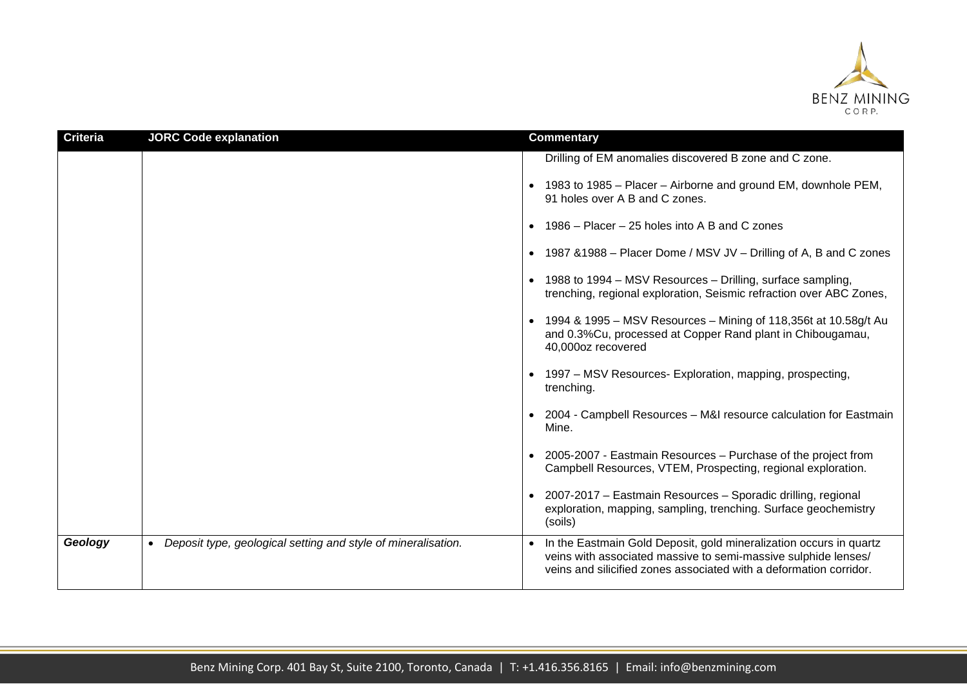

| <b>Criteria</b> | <b>JORC Code explanation</b>                                  | <b>Commentary</b>                                                                                                                                                                                                                                                                                                                                                                                                                                                                                                                                                                                                                                                                                                                                          |
|-----------------|---------------------------------------------------------------|------------------------------------------------------------------------------------------------------------------------------------------------------------------------------------------------------------------------------------------------------------------------------------------------------------------------------------------------------------------------------------------------------------------------------------------------------------------------------------------------------------------------------------------------------------------------------------------------------------------------------------------------------------------------------------------------------------------------------------------------------------|
|                 |                                                               | Drilling of EM anomalies discovered B zone and C zone.<br>• 1983 to 1985 – Placer – Airborne and ground EM, downhole PEM,<br>91 holes over A B and C zones.<br>1986 – Placer – 25 holes into A B and C zones<br>• 1987 & 1988 – Placer Dome / MSV JV – Drilling of A, B and C zones<br>• 1988 to 1994 – MSV Resources – Drilling, surface sampling,<br>trenching, regional exploration, Seismic refraction over ABC Zones,<br>• 1994 & 1995 – MSV Resources – Mining of 118,356t at 10.58g/t Au<br>and 0.3%Cu, processed at Copper Rand plant in Chibougamau,<br>40,000oz recovered<br>• 1997 – MSV Resources- Exploration, mapping, prospecting,<br>trenching.<br>2004 - Campbell Resources - M&I resource calculation for Eastmain<br>$\bullet$<br>Mine. |
|                 |                                                               | 2005-2007 - Eastmain Resources - Purchase of the project from<br>Campbell Resources, VTEM, Prospecting, regional exploration.                                                                                                                                                                                                                                                                                                                                                                                                                                                                                                                                                                                                                              |
|                 |                                                               | • 2007-2017 - Eastmain Resources - Sporadic drilling, regional<br>exploration, mapping, sampling, trenching. Surface geochemistry<br>(soils)                                                                                                                                                                                                                                                                                                                                                                                                                                                                                                                                                                                                               |
| Geology         | Deposit type, geological setting and style of mineralisation. | In the Eastmain Gold Deposit, gold mineralization occurs in quartz<br>veins with associated massive to semi-massive sulphide lenses/<br>veins and silicified zones associated with a deformation corridor.                                                                                                                                                                                                                                                                                                                                                                                                                                                                                                                                                 |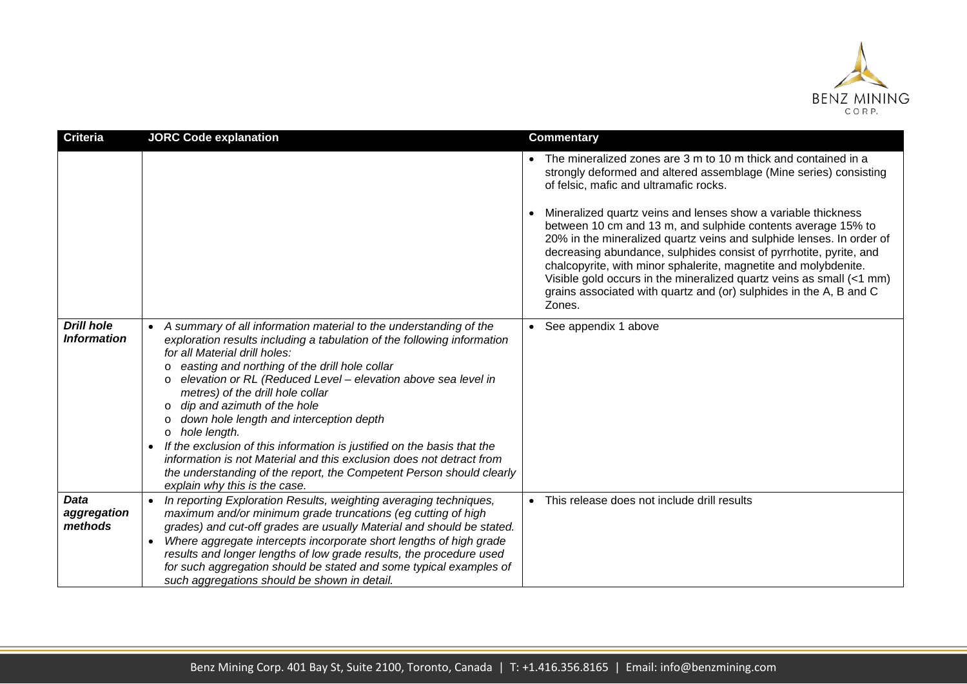

| <b>Criteria</b>                         | <b>JORC Code explanation</b>                                                                                                                                                                                                                                                                                                                                                                                                                                                                                                                                                                                                                                                                                                                                  | <b>Commentary</b>                                                                                                                                                                                                                                                                                                                                                                                                                                                                                                                                                                                                                                                                         |
|-----------------------------------------|---------------------------------------------------------------------------------------------------------------------------------------------------------------------------------------------------------------------------------------------------------------------------------------------------------------------------------------------------------------------------------------------------------------------------------------------------------------------------------------------------------------------------------------------------------------------------------------------------------------------------------------------------------------------------------------------------------------------------------------------------------------|-------------------------------------------------------------------------------------------------------------------------------------------------------------------------------------------------------------------------------------------------------------------------------------------------------------------------------------------------------------------------------------------------------------------------------------------------------------------------------------------------------------------------------------------------------------------------------------------------------------------------------------------------------------------------------------------|
|                                         |                                                                                                                                                                                                                                                                                                                                                                                                                                                                                                                                                                                                                                                                                                                                                               | • The mineralized zones are 3 m to 10 m thick and contained in a<br>strongly deformed and altered assemblage (Mine series) consisting<br>of felsic, mafic and ultramafic rocks.<br>Mineralized quartz veins and lenses show a variable thickness<br>between 10 cm and 13 m, and sulphide contents average 15% to<br>20% in the mineralized quartz veins and sulphide lenses. In order of<br>decreasing abundance, sulphides consist of pyrrhotite, pyrite, and<br>chalcopyrite, with minor sphalerite, magnetite and molybdenite.<br>Visible gold occurs in the mineralized quartz veins as small (<1 mm)<br>grains associated with quartz and (or) sulphides in the A, B and C<br>Zones. |
| <b>Drill hole</b><br><b>Information</b> | A summary of all information material to the understanding of the<br>exploration results including a tabulation of the following information<br>for all Material drill holes:<br>easting and northing of the drill hole collar<br>$\circ$<br>elevation or RL (Reduced Level - elevation above sea level in<br>$\circ$<br>metres) of the drill hole collar<br>dip and azimuth of the hole<br>$\circ$<br>down hole length and interception depth<br>$\circ$<br>hole length.<br>$\circ$<br>If the exclusion of this information is justified on the basis that the<br>$\bullet$<br>information is not Material and this exclusion does not detract from<br>the understanding of the report, the Competent Person should clearly<br>explain why this is the case. | • See appendix 1 above                                                                                                                                                                                                                                                                                                                                                                                                                                                                                                                                                                                                                                                                    |
| <b>Data</b><br>aggregation<br>methods   | In reporting Exploration Results, weighting averaging techniques,<br>$\bullet$<br>maximum and/or minimum grade truncations (eg cutting of high<br>grades) and cut-off grades are usually Material and should be stated.<br>Where aggregate intercepts incorporate short lengths of high grade<br>$\bullet$<br>results and longer lengths of low grade results, the procedure used<br>for such aggregation should be stated and some typical examples of<br>such aggregations should be shown in detail.                                                                                                                                                                                                                                                       | This release does not include drill results                                                                                                                                                                                                                                                                                                                                                                                                                                                                                                                                                                                                                                               |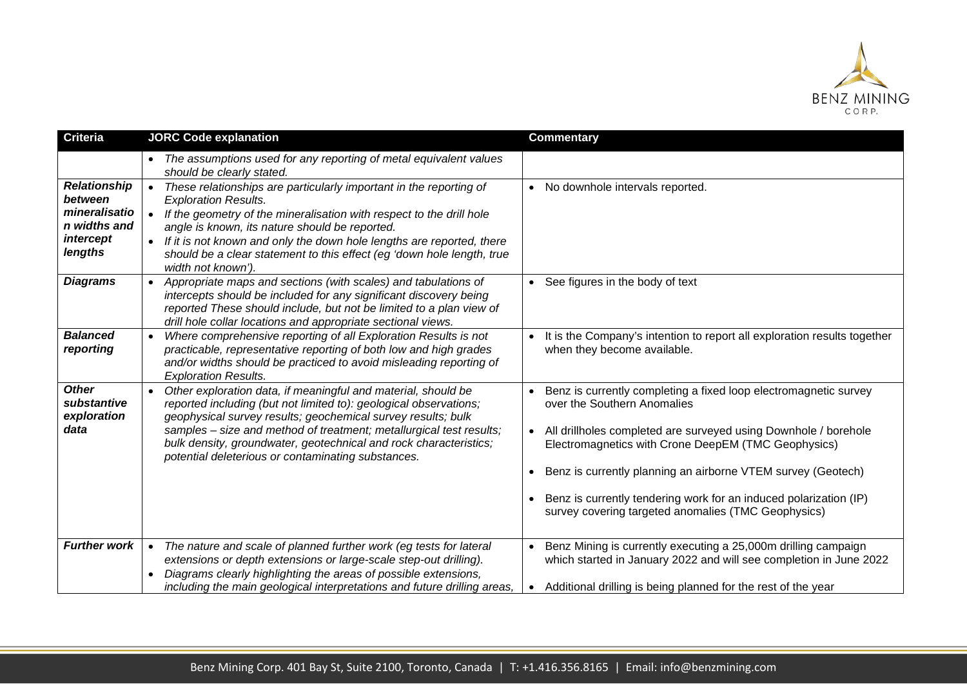

| <b>Criteria</b>                                                                         | <b>JORC Code explanation</b>                                                                                                                                                                                                                                                                                                                                                                                                   | <b>Commentary</b>                                                                                                                                                                                                           |
|-----------------------------------------------------------------------------------------|--------------------------------------------------------------------------------------------------------------------------------------------------------------------------------------------------------------------------------------------------------------------------------------------------------------------------------------------------------------------------------------------------------------------------------|-----------------------------------------------------------------------------------------------------------------------------------------------------------------------------------------------------------------------------|
|                                                                                         | The assumptions used for any reporting of metal equivalent values<br>should be clearly stated.                                                                                                                                                                                                                                                                                                                                 |                                                                                                                                                                                                                             |
| <b>Relationship</b><br>between<br>mineralisatio<br>n widths and<br>intercept<br>lengths | These relationships are particularly important in the reporting of<br>$\bullet$<br><b>Exploration Results.</b><br>If the geometry of the mineralisation with respect to the drill hole<br>$\bullet$<br>angle is known, its nature should be reported.<br>If it is not known and only the down hole lengths are reported, there<br>should be a clear statement to this effect (eg 'down hole length, true<br>width not known'). | • No downhole intervals reported.                                                                                                                                                                                           |
| <b>Diagrams</b>                                                                         | Appropriate maps and sections (with scales) and tabulations of<br>intercepts should be included for any significant discovery being<br>reported These should include, but not be limited to a plan view of<br>drill hole collar locations and appropriate sectional views.                                                                                                                                                     | • See figures in the body of text                                                                                                                                                                                           |
| <b>Balanced</b><br>reporting                                                            | Where comprehensive reporting of all Exploration Results is not<br>$\bullet$<br>practicable, representative reporting of both low and high grades<br>and/or widths should be practiced to avoid misleading reporting of<br><b>Exploration Results.</b>                                                                                                                                                                         | It is the Company's intention to report all exploration results together<br>when they become available.                                                                                                                     |
| <b>Other</b><br>substantive<br>exploration<br>data                                      | Other exploration data, if meaningful and material, should be<br>$\bullet$<br>reported including (but not limited to): geological observations;<br>geophysical survey results; geochemical survey results; bulk<br>samples - size and method of treatment; metallurgical test results;<br>bulk density, groundwater, geotechnical and rock characteristics;<br>potential deleterious or contaminating substances.              | Benz is currently completing a fixed loop electromagnetic survey<br>over the Southern Anomalies<br>• All drillholes completed are surveyed using Downhole / borehole<br>Electromagnetics with Crone DeepEM (TMC Geophysics) |
|                                                                                         |                                                                                                                                                                                                                                                                                                                                                                                                                                | Benz is currently planning an airborne VTEM survey (Geotech)                                                                                                                                                                |
|                                                                                         |                                                                                                                                                                                                                                                                                                                                                                                                                                | Benz is currently tendering work for an induced polarization (IP)<br>survey covering targeted anomalies (TMC Geophysics)                                                                                                    |
| <b>Further work</b>                                                                     | The nature and scale of planned further work (eg tests for lateral<br>$\bullet$<br>extensions or depth extensions or large-scale step-out drilling).<br>Diagrams clearly highlighting the areas of possible extensions,                                                                                                                                                                                                        | Benz Mining is currently executing a 25,000m drilling campaign<br>which started in January 2022 and will see completion in June 2022                                                                                        |
|                                                                                         | including the main geological interpretations and future drilling areas,                                                                                                                                                                                                                                                                                                                                                       | Additional drilling is being planned for the rest of the year<br>$\bullet$                                                                                                                                                  |